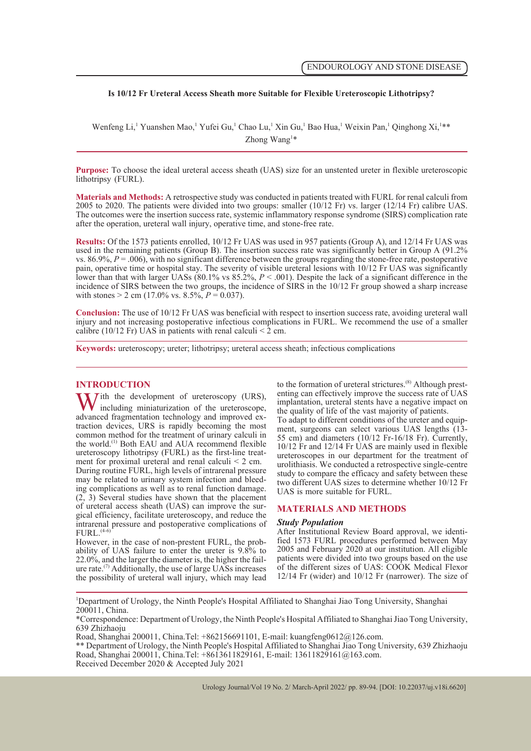## **Is 10/12 Fr Ureteral Access Sheath more Suitable for Flexible Ureteroscopic Lithotripsy?**

Wenfeng Li,<sup>1</sup> Yuanshen Mao,<sup>1</sup> Yufei Gu,<sup>1</sup> Chao Lu,<sup>1</sup> Xin Gu,<sup>1</sup> Bao Hua,<sup>1</sup> Weixin Pan,<sup>1</sup> Qinghong Xi,<sup>1</sup>\*\* Zhong Wang<sup>1\*</sup>

**Purpose:** To choose the ideal ureteral access sheath (UAS) size for an unstented ureter in flexible ureteroscopic lithotripsy (FURL).

**Materials and Methods:** A retrospective study was conducted in patients treated with FURL for renal calculi from 2005 to 2020. The patients were divided into two groups: smaller (10/12 Fr) vs. larger (12/14 Fr) calibre UAS. The outcomes were the insertion success rate, systemic inflammatory response syndrome (SIRS) complication rate after the operation, ureteral wall injury, operative time, and stone-free rate.

**Results:** Of the 1573 patients enrolled, 10/12 Fr UAS was used in 957 patients (Group A), and 12/14 Fr UAS was used in the remaining patients (Group B). The insertion success rate was significantly better in Group A (91.2% vs.  $86.9\%, P = .006$ , with no significant difference between the groups regarding the stone-free rate, postoperative pain, operative time or hospital stay. The severity of visible ureteral lesions with 10/12 Fr UAS was significantly lower than that with larger UASs (80.1% vs  $85.2\%$ ,  $P < .001$ ). Despite the lack of a significant difference in the incidence of SIRS between the two groups, the incidence of SIRS in the 10/12 Fr group showed a sharp increase with stones  $> 2$  cm (17.0% vs. 8.5%,  $P = 0.037$ ).

**Conclusion:** The use of 10/12 Fr UAS was beneficial with respect to insertion success rate, avoiding ureteral wall injury and not increasing postoperative infectious complications in FURL. We recommend the use of a smaller calibre (10/12 Fr) UAS in patients with renal calculi  $\leq$  2 cm.

**Keywords:** ureteroscopy; ureter; lithotripsy; ureteral access sheath; infectious complications

**INTRODUCTION**<br>**T** *T i*th the development of ureteroscopy (URS), With the development of ureteroscopy (URS), including miniaturization of the ureteroscope, advanced fragmentation technology and improved exincluding miniaturization of the ureteroscope, advanced fragmentation technology and improved ex- traction devices, URS is rapidly becoming the most common method for the treatment of urinary calculi in the world.<sup>(1)</sup> Both EAU and AUA recommend flexible ureteroscopy lithotripsy (FURL) as the first-line treatment for proximal ureteral and renal calculi  $\leq 2$  cm. During routine FURL, high levels of intrarenal pressure may be related to urinary system infection and bleed-<br>ing complications as well as to renal function damage. (2, 3) Several studies have shown that the placement gical efficiency, facilitate ureteroscopy, and reduce the intrarenal pressure and postoperative complications of FURL. $(4-6)$ <br>However, in the case of non-prestent FURL, the prob-

ability of UAS failure to enter the ureter is  $9.8\%$  to 22.0%, and the larger the diameter is, the higher the failure rate.<sup>(7)</sup> Additionally, the use of large UASs increases the possibility of ureteral wall injury, which may lead to the formation of ureteral strictures.<sup>(8)</sup> Although prest-<br>enting can effectively improve the success rate of UAS implantation, ureteral stents have a negative impact on the quality of life of the vast majority of patients.<br>To adapt to different conditions of the ureter and equipment, surgeons can select various UAS lengths (13-55 cm) and diameters (10/12 Fr-16/18 Fr). Currently, 10/12 Fr and 12/14 Fr UAS are mainly used in flexible ureteroscopes in our department for the treatment of urolithiasis. We conducted a retrospective single-centre study to compare the efficacy and safety between these two different UAS sizes to determine whether 10/12 Fr UAS is more suitable for FURL.

#### **MATERIALS AND METHODS**

**Study Population**<br>After Institutional Review Board approval, we identified 1573 FURL procedures performed between May 2005 and February 2020 at our institution. All eligible patients were divided into two groups based on the use of the different sizes of UAS: COOK Medical Flexor 12/14 Fr (wider) and 10/12 Fr (narrower). The size of

1 Department of Urology, the Ninth People's Hospital Affiliated to Shanghai Jiao Tong University, Shanghai 200011, China.

\*Correspondence: Department of Urology, the Ninth People's Hospital Affiliated to Shanghai Jiao Tong University, 639 Zhizhaoju

Road, Shanghai 200011, China.Tel: +862156691101, E-mail: kuangfeng0612@126.com.

\*\* Department of Urology, the Ninth People's Hospital Affiliated to Shanghai Jiao Tong University, 639 Zhizhaoju Road, Shanghai 200011, China.Tel: +8613611829161, E-mail: 13611829161@163.com.

Received December 2020 & Accepted July 2021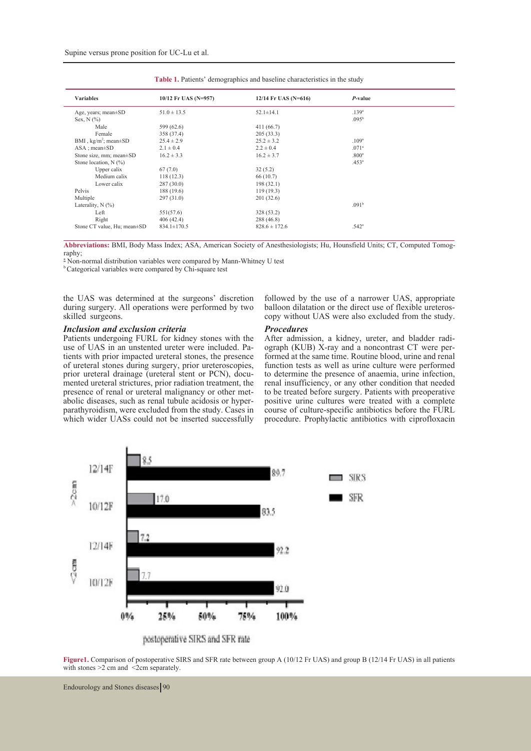| <b>Variables</b>              | 10/12 Fr UAS (N=957) | 12/14 Fr UAS (N=616) | P-value           |  |
|-------------------------------|----------------------|----------------------|-------------------|--|
| Age, years; mean $\pm$ SD     | $51.0 \pm 13.5$      | $52.1 \pm 14.1$      | .139 <sup>a</sup> |  |
| Sex, $N$ $(\%)$               |                      |                      | .095 <sup>b</sup> |  |
| Male                          | 599 (62.6)           | 411(66.7)            |                   |  |
| Female                        | 358 (37.4)           | 205(33.3)            |                   |  |
| BMI, $kg/m^2$ ; mean $\pm$ SD | $25.4 \pm 2.9$       | $25.2 \pm 3.2$       | .109 <sup>a</sup> |  |
| $ASA : mean \pm SD$           | $2.1 \pm 0.4$        | $2.2 \pm 0.4$        | .071 <sup>a</sup> |  |
| Stone size, mm; mean±SD       | $16.2 \pm 3.3$       | $16.2 \pm 3.7$       | .800 <sup>a</sup> |  |
| Stone location, $N$ (%)       |                      |                      | .453 <sup>a</sup> |  |
| Upper calix                   | 67(7.0)              | 32(5.2)              |                   |  |
| Medium calix                  | 118(12.3)            | 66(10.7)             |                   |  |
| Lower calix                   | 287(30.0)            | 198(32.1)            |                   |  |
| Pelvis                        | 188 (19.6)           | 119(19.3)            |                   |  |
| Multiple                      | 297(31.0)            | 201(32.6)            |                   |  |
| Laterality, $N$ $(\%)$        |                      |                      | .091 <sup>b</sup> |  |
| Left                          | 551(57.6)            | 328 (53.2)           |                   |  |
| Right                         | 406(42.4)            | 288 (46.8)           |                   |  |
| Stone CT value, Hu; mean±SD   | $834.1 \pm 170.5$    | $828.6 \pm 172.6$    | .542 <sup>a</sup> |  |

**Table 1.** Patients' demographics and baseline characteristics in the study

**Abbreviations:** BMI, Body Mass Index; ASA, American Society of Anesthesiologists; Hu, Hounsfield Units; CT, Computed Tomog- raphy;

<sup>a</sup> Non-normal distribution variables were compared by Mann-Whitney U test

b Categorical variables were compared by Chi-square test

the UAS was determined at the surgeons' discretion during surgery. All operations were performed by two skilled surgeons.

### *Inclusion and exclusion criteria*

Patients undergoing FURL for kidney stones with the use of UAS in an unstented ureter were included. Patients with prior impacted ureteral stones, the presence of ureteral stones during surgery, prior ureteroscopies, prior ureteral drainage (ureteral stent or PCN), docu-<br>mented ureteral strictures, prior radiation treatment, the<br>presence of renal or ureteral malignancy or other metabolic diseases, such as renal tubule acidosis or hyper-parathyroidism, were excluded from the study. Cases in which wider UASs could not be inserted successfully followed by the use of a narrower UAS, appropriate balloon dilatation or the direct use of flexible ureteroscopy without UAS were also excluded from the study.

**Procedures**<br>After admission, a kidney, ureter, and bladder radiograph (KUB) X-ray and a noncontrast CT were per-<br>formed at the same time. Routine blood, urine and renal function tests as well as urine culture were performed to determine the presence of anaemia, urine infection, renal insufficiency, or any other condition that needed to be treated before surgery. Patients with preoperative positive urine cultures were treated with a complete course of culture-specific antibiotics before the FURL procedure. Prophylactic antibiotics with ciprofloxacin



**Figure1.** Comparison of postoperative SIRS and SFR rate between group A (10/12 Fr UAS) and group B (12/14 Fr UAS) in all patients with stones  $>2$  cm and  $\leq$ 2cm separately.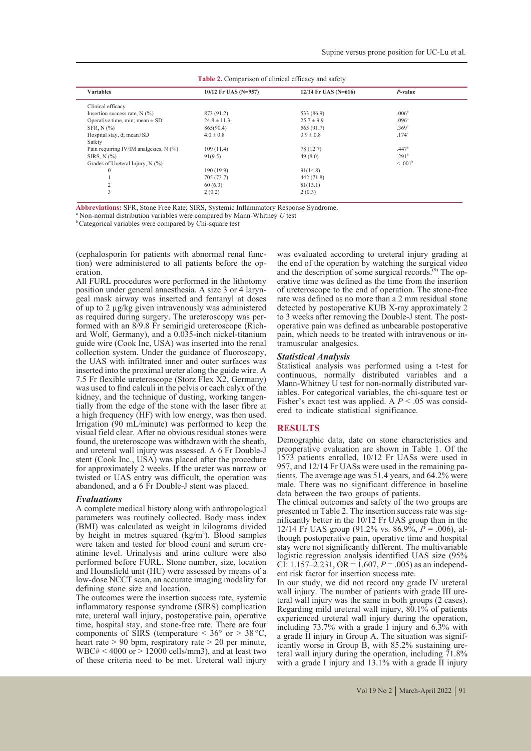| <b>Variables</b>                         | 10/12 Fr UAS (N=957) | 12/14 Fr UAS (N=616) | $P$ -value        |  |
|------------------------------------------|----------------------|----------------------|-------------------|--|
| Clinical efficacy                        |                      |                      |                   |  |
| Insertion success rate, $N$ (%)          | 873 (91.2)           | 533 (86.9)           | .006 <sup>b</sup> |  |
| Operative time, min; mean $\pm$ SD       | $24.8 \pm 11.3$      | $25.7 \pm 9.9$       | .096 <sup>a</sup> |  |
| SFR, $N$ $(\%)$                          | 865(90.4)            | 565 (91.7)           | .369 <sup>b</sup> |  |
| Hospital stay, d; mean $\pm$ SD          | $4.0 \pm 0.8$        | $3.9 \pm 0.8$        | $.174^{a}$        |  |
| Safety                                   |                      |                      |                   |  |
| Pain requiring IV/IM analgesics, $N$ (%) | 109(11.4)            | 78 (12.7)            | .447 <sup>b</sup> |  |
| SIRS, $N$ $(\%)$                         | 91(9.5)              | 49(8.0)              | .291 <sup>b</sup> |  |
| Grades of Ureteral Injury, N (%)         |                      |                      | $\leq .001^b$     |  |
| $\mathbf{0}$                             | 190(19.9)            | 91(14.8)             |                   |  |
|                                          | 705 (73.7)           | 442 (71.8)           |                   |  |
| 2                                        | 60(6.3)              | 81(13.1)             |                   |  |
| 3                                        | 2(0.2)               | 2(0.3)               |                   |  |

| <b>Table 2.</b> Comparison of clinical efficacy and safety |  |
|------------------------------------------------------------|--|
|------------------------------------------------------------|--|

**Abbreviations:** SFR, Stone Free Rate; SIRS, Systemic Inflammatory Response Syndrome. <sup>a</sup>

<sup>a</sup> Non-normal distribution variables were compared by Mann-Whitney *U* test b Categorical variables were compared by Chi-square test

(cephalosporin for patients with abnormal renal func-<br>tion) were administered to all patients before the op-<br>eration.

All FURL procedures were performed in the lithotomy position under general anaesthesia. A size 3 or 4 laryngeal mask airway was inserted and fentanyl at doses of up to 2 μg/kg given intravenously was administered formed with an 8/9.8 Fr semirigid ureteroscope (Richard Wolf, Germany), and a 0.035-inch nickel-titanium guide wire (Cook Inc, USA) was inserted into the renal collection system. Under the guidance of fluoroscopy, the UAS with infiltrated inner and outer surfaces was inserted into the proximal ureter along the guide wire. A 7.5 Fr flexible ureteroscope (Storz Flex X2, Germany) was used to find calculi in the pelvis or each calyx of the kidney, and the technique of dusting, working tangen- tially from the edge of the stone with the laser fibre at a high frequency (HF) with low energy, was then used. Irrigation (90 mL/minute) was performed to keep the visual field clear. After no obvious residual stones were found, the ureteroscope was withdrawn with the sheath, and ureteral wall injury was assessed. A 6 Fr Double-J stent (Cook Inc., USA) was placed after the procedure for approximately 2 weeks. If the ureter was narrow or twisted or UAS entry was difficult, the operation was abandoned, and a 6 Fr Double-J stent was placed.

#### *Evaluations*

A complete medical history along with anthropological parameters was routinely collected. Body mass index (BMI) was calculated as weight in kilograms divided by height in metres squared  $(kg/m<sup>2</sup>)$ . Blood samples were taken and tested for blood count and serum cre- atinine level. Urinalysis and urine culture were also performed before FURL. Stone number, size, location and Hounsfield unit (HU) were assessed by means of a low-dose NCCT scan, an accurate imaging modality for defining stone size and location.

The outcomes were the insertion success rate, systemic inflammatory response syndrome (SIRS) complication rate, ureteral wall injury, postoperative pain, operative time, hospital stay, and stone-free rate. There are four components of SIRS (temperature  $\leq 36^{\circ}$  or  $> 38^{\circ}$ C, heart rate  $> 90$  bpm, respiratory rate  $> 20$  per minute,  $WBC# < 4000$  or  $> 12000$  cells/mm3), and at least two of these criteria need to be met. Ureteral wall injury

was evaluated according to ureteral injury grading at the end of the operation by watching the surgical video and the description of some surgical records.<sup> $(9)$ </sup> The operative time was defined as the time from the insertion of ureteroscope to the end of operation. The stone-free rate was defined as no more than a 2 mm residual stone detected by postoperative KUB X-ray approximately 2 to 3 weeks after removing the Double-J stent. The postoperative pain was defined as unbearable postoperative pain, which needs to be treated with intravenous or in- tramuscular analgesics.

#### *Statistical Analysis*

Statistical analysis was performed using a t-test for continuous, normally distributed variables and a Mann-Whitney U test for non-normally distributed variables. For categorical variables, the chi-square test or Fisher's exact test was applied. A  $P < .05$  was considered to indicate statistical significance.

#### **RESULTS**

Demographic data, date on stone characteristics and preoperative evaluation are shown in Table 1. Of the 1573 patients enrolled, 10/12 Fr UASs were used in tients. The average age was 51.4 years, and  $64.2\%$  were male. There was no significant difference in baseline data between the two groups of patients.

The clinical outcomes and safety of the two groups are presented in Table 2. The insertion success rate was significantly better in the 10/12 Fr UAS group than in the 12/14 Fr UAS group (91.2% vs. 86.9%,  $\vec{P}$  = .006), although postoperative pain, operative time and hospital stay were not significantly different. The multivariable logistic regression analysis identified UAS size (95% CI:  $1.157-2.231$ , OR =  $1.607$ ,  $P = .005$ ) as an independent risk factor for insertion success rate.

In our study, we did not record any grade IV ureteral teral wall injury was the same in both groups (2 cases). Regarding mild ureteral wall injury, 80.1% of patients experienced ureteral wall injury during the operation, including 73.7% with a grade I injury and  $6.3\%$  with a grade II injury in Group A. The situation was significantly worse in Group B, with 85.2% sustaining ure-<br>teral wall injury during the operation, including 71.8% with a grade I injury and 13.1% with a grade II injury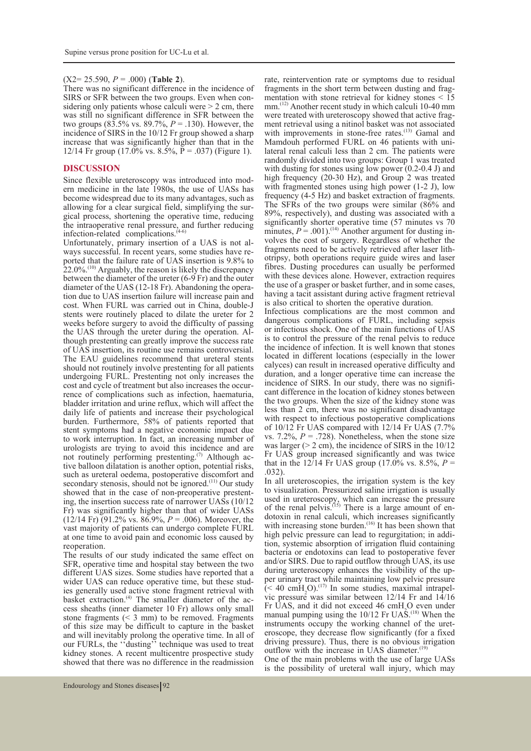#### (X2= 25.590, *P* = .000) (**Table 2**).

There was no significant difference in the incidence of SIRS or SFR between the two groups. Even when considering only patients whose calculi were  $> 2$  cm, there was still no significant difference in SFR between the two groups (83.5% vs. 89.7%, *P* = .130). However, the incidence of SIRS in the 10/12 Fr group showed a sharp increase that was significantly higher than that in the 12/14 Fr group (17.0% vs.  $8.5\%$ ,  $\overline{P} = .037$ ) (Figure 1).

#### **DISCUSSION**

Since flexible ureteroscopy was introduced into mod- ern medicine in the late 1980s, the use of UASs has become widespread due to its many advantages, such as allowing for a clear surgical field, simplifying the surgical process, shortening the operative time, reducing the intraoperative renal pressure, and further reducing infection-related complications. $(4-6)$ <br>Unfortunately, primary insertion of a UAS is not al-

ways successful. In recent years, some studies have re-<br>ported that the failure rate of UAS insertion is 9.8% to  $22.0\%$ <sup>(10)</sup> Arguably, the reason is likely the discrepancy between the diameter of the ureter  $(6-9)$  Fr) and the outer diameter of the UAS (12-18 Fr). Abandoning the operation due to UAS insertion failure will increase pain and cost. When FURL was carried out in China, double-J stents were routinely placed to dilate the ureter for 2 weeks before surgery to avoid the difficulty of passing the UAS through the ureter during the operation. Although prestenting can greatly improve the success rate of UAS insertion, its routine use remains controversial. The EAU guidelines recommend that ureteral stents should not routinely involve prestenting for all patients undergoing FURL. Prestenting not only increases the rence of complications such as infection, haematuria, bladder irritation and urine reflux, which will affect the daily life of patients and increase their psychological burden. Furthermore, 58% of patients reported that stent symptoms had a negative economic impact due to work interruption. In fact, an increasing number of urologists are trying to avoid this incidence and are not routinely performing prestenting.<sup>(7)</sup> Although active balloon dilatation is another option, potential risks, such as ureteral oedema, postoperative discomfort and secondary stenosis, should not be ignored.<sup>(11)</sup> Our study showed that in the case of non-preoperative prestent-<br>ing, the insertion success rate of narrower UASs (10/12) Fr) was significantly higher than that of wider UASs (12/14 Fr) (91.2% vs. 86.9%, *P* = .006). Moreover, the vast majority of patients can undergo complete FURL at one time to avoid pain and economic loss caused by reoperation

The results of our study indicated the same effect on SFR, operative time and hospital stay between the two different UAS sizes. Some studies have reported that a wider UAS can reduce operative time, but these studies generally used active stone fragment retrieval with basket extraction.<sup>(4)</sup> The smaller diameter of the access sheaths (inner diameter 10 Fr) allows only small stone fragments  $( $3 \text{ mm}$ )$  to be removed. Fragments of this size may be difficult to capture in the basket and will inevitably prolong the operative time. In all of our FURLs, the ''dusting'' technique was used to treat kidney stones. A recent multicentre prospective study showed that there was no difference in the readmission rate, reintervention rate or symptoms due to residual fragments in the short term between dusting and fragmentation with stone retrieval for kidney stones  $\leq 15$ mm.(12) Another recent study in which calculi 10-40 mm were treated with ureteroscopy showed that active frag- ment retrieval using a nitinol basket was not associated with improvements in stone-free rates.<sup>(13)</sup> Gamal and Mamdouh performed FURL on 46 patients with unilateral renal calculi less than 2 cm. The patients were randomly divided into two groups: Group 1 was treated with dusting for stones using low power (0.2-0.4 J) and high frequency (20-30 Hz), and Group 2 was treated with fragmented stones using high power (1-2 J), low frequency (4-5 Hz) and basket extraction of fragments. The SFRs of the two groups were similar (86% and 89%, respectively), and dusting was associated with a significantly shorter operative time (57 minutes vs 70) minutes,  $P = .001$ .<sup>(14)</sup> Another argument for dusting involves the cost of surgery. Regardless of whether the fragments need to be actively retrieved after laser lithotripsy, both operations require guide wires and laser fibres. Dusting procedures can usually be performed with these devices alone. However, extraction requires the use of a grasper or basket further, and in some cases, having a tacit assistant during active fragment retrieval is also critical to shorten the operative duration.

Infectious complications are the most common and dangerous complications of FURL, including sepsis or infectious shock. One of the main functions of UAS is to control the pressure of the renal pelvis to reduce the incidence of infection. It is well known that stones located in different locations (especially in the lower calyces) can result in increased operative difficulty and duration, and a longer operative time can increase the incidence of SIRS. In our study, there was no significant difference in the location of kidney stones between the two groups. When the size of the kidney stone was less than 2 cm, there was no significant disadvantage with respect to infectious postoperative complications of 10/12 Fr UAS compared with 12/14 Fr UAS (7.7% vs. 7.2%,  $P = .728$ ). Nonetheless, when the stone size was larger ( $> 2$  cm), the incidence of SIRS in the  $10/12$ Fr UAS group increased significantly and was twice that in the 12/14 Fr UAS group (17.0% vs. 8.5%,  $P = .032$ ).

In all ureteroscopies, the irrigation system is the key to visualization. Pressurized saline irrigation is usually used in ureteroscopy, which can increase the pressure of the renal pelvis.<sup> $(15)$ </sup> There is a large amount of endotoxin in renal calculi, which increases significantly with increasing stone burden.<sup>(16)</sup> It has been shown that high pelvic pressure can lead to regurgitation; in addi- tion, systemic absorption of irrigation fluid containing bacteria or endotoxins can lead to postoperative fever and/or SIRS. Due to rapid outflow through UAS, its use during ureteroscopy enhances the visibility of the upper urinary tract while maintaining low pelvic pressure  $( $40 \text{ cmH}_{2}O$ ).<sup>(17)</sup> In some studies, maximal intrapel-  
vic pressure was similar between 12/14 Fr and 14/16$ Fr UAS, and it did not exceed 46 cmH<sub>2</sub>O even under<br>magnetic units the  $10/12$  Fu UAS  $^{(18)}$  When the manual pumping using the 10/12 Fr UAS.<sup>(18)</sup> When the instruments occupy the working channel of the uret- eroscope, they decrease flow significantly (for a fixed driving pressure). Thus, there is no obvious irrigation outflow with the increase in UAS diameter. $(1)$ 

One of the main problems with the use of large UASs is the possibility of ureteral wall injury, which may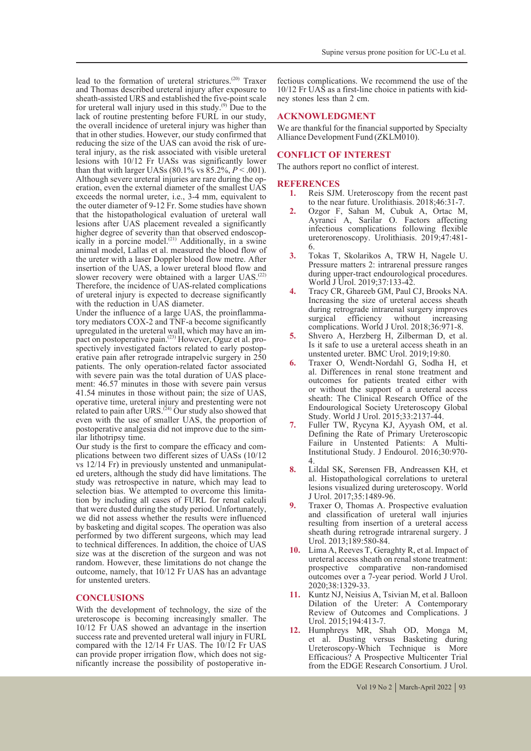lead to the formation of ureteral strictures.(20) Traxer and Thomas described ureteral injury after exposure to sheath-assisted URS and established the five-point scale for ureteral wall injury used in this study.<sup>(9)</sup> Due to the lack of routine prestenting before FURL in our study, the overall incidence of ureteral injury was higher than that in other studies. However, our study confirmed that teral injury, as the risk associated with visible ureteral lesions with 10/12 Fr UASs was significantly lower than that with larger UASs (80.1% vs  $85.2\%$ ,  $P < .001$ ).<br>Although severe ureteral injuries are rare during the operation, even the external diameter of the smallest UAS exceeds the normal ureter, i.e., 3-4 mm, equivalent to the outer diameter of 9-12 Fr. Some studies have shown that the histopathological evaluation of ureteral wall lesions after UAS placement revealed a significantly higher degree of severity than that observed endoscophigher degree of severity than that observed endoscop- ically in a porcine model.(21) Additionally, in a swine animal model, Lallas et al. measured the blood flow of the ureter with a laser Doppler blood flow metre. After insertion of the UAS, a lower ureteral blood flow and slower recovery were obtained with a larger UAS.<sup>(22)</sup> Therefore, the incidence of UAS-related complications of ureteral injury is expected to decrease significantly

with the reduction in UAS diameter.<br>Under the influence of a large UAS, the proinflammatory mediators COX-2 and TNF-a become significantly upregulated in the ureteral wall, which may have an impact on postoperative pain.<sup>(23)</sup> However, Oguz et al. pro-<br>spectively investigated factors related to early postop-<br>erative pain after retrograde intrapelvic surgery in 250 patients. The only operation-related factor associated ment: 46.57 minutes in those with severe pain versus 41.54 minutes in those without pain; the size of UAS, operative time, ureteral injury and prestenting were not related to pain after URS.<sup> $(24)$ </sup> Our study also showed that even with the use of smaller UAS, the proportion of postoperative analgesia did not improve due to the sim- ilar lithotripsy time.

Our study is the first to compare the efficacy and com-<br>plications between two different sizes of UASs (10/12<br>vs 12/14 Fr) in previously unstented and unmanipulated ureters, although the study did have limitations. The study was retrospective in nature, which may lead to selection bias. We attempted to overcome this limitation by including all cases of FURL for renal calculi that were dusted during the study period. Unfortunately, we did not assess whether the results were influenced by basketing and digital scopes. The operation was also performed by two different surgeons, which may lead to technical differences. In addition, the choice of UAS size was at the discretion of the surgeon and was not random. However, these limitations do not change the outcome, namely, that 10/12 Fr UAS has an advantage for unstented ureters.

#### **CONCLUSIONS**

With the development of technology, the size of the ureteroscope is becoming increasingly smaller. The 10/12 Fr UAS showed an advantage in the insertion success rate and prevented ureteral wall injury in FURL compared with the 12/14 Fr UAS. The 10/12 Fr UAS can provide proper irrigation flow, which does not significantly increase the possibility of postoperative in-

fectious complications. We recommend the use of the 10/12 Fr UAS as a first-line choice in patients with kid- ney stones less than 2 cm.

### **ACKNOWLEDGMENT**

We are thankful for the financial supported by Specialty Alliance Development Fund (ZKLM010).

### **CONFLICT OF INTEREST**

The authors report no conflict of interest.

# **REFERENCES**<br>1. Reis SIN

- **1.** Reis SJM. Ureteroscopy from the recent past to the near future. Urolithiasis. 2018;46:31-7.
- **2.** Ozgor F, Sahan M, Cubuk A, Ortac M, Ayranci A, Sarilar O. Factors affecting infectious complications following flexible ureterorenoscopy. Urolithiasis. 2019;47:481- 6.
- **3.** Tokas T, Skolarikos A, TRW H, Nagele U. Pressure matters 2: intrarenal pressure ranges during upper-tract endourological procedures. World J Urol. 2019;37:133-42.
- **4.** Tracy CR, Ghareeb GM, Paul CJ, Brooks NA. Increasing the size of ureteral access sheath during retrograde intrarenal surgery improves<br>surgical efficiency without increasing without increasing complications. World J Urol. 2018;36:971-8.
- **5.** Shvero A, Herzberg H, Zilberman D, et al. Is it safe to use a ureteral access sheath in an unstented ureter. BMC Urol. 2019;19:80.
- **6.** Traxer O, Wendt-Nordahl G, Sodha H, et al. Differences in renal stone treatment and outcomes for patients treated either with or without the support of a ureteral access sheath: The Clinical Research Office of the Endourological Society Ureteroscopy Global Study. World J Urol. 2015;33:2137-44.
- **7.** Fuller TW, Rycyna KJ, Ayyash OM, et al. Defining the Rate of Primary Ureteroscopic Failure in Unstented Patients: A Multi-Institutional Study. J Endourol. 2016;30:970- 4.
- **8.** Lildal SK, Sørensen FB, Andreassen KH, et al. Histopathological correlations to ureteral lesions visualized during ureteroscopy. World J Urol. 2017;35:1489-96.
- **9.** Traxer O, Thomas A. Prospective evaluation and classification of ureteral wall injuries resulting from insertion of a ureteral access sheath during retrograde intrarenal surgery. J Urol. 2013;189:580-84.
- **10.** Lima A, Reeves T, Geraghty R, et al. Impact of ureteral access sheath on renal stone treatment: prospective comparative non-randomised outcomes over a 7-year period. World J Urol. 2020;38:1329-33.
- **11.** Kuntz NJ, Neisius A, Tsivian M, et al. Balloon Dilation of the Ureter: A Contemporary Review of Outcomes and Complications. J Urol. 2015;194:413-7.
- **12.** Humphreys MR, Shah OD, Monga M, et al. Dusting versus Basketing during Ureteroscopy-Which Technique is More Efficacious? A Prospective Multicenter Trial from the EDGE Research Consortium. J Urol.